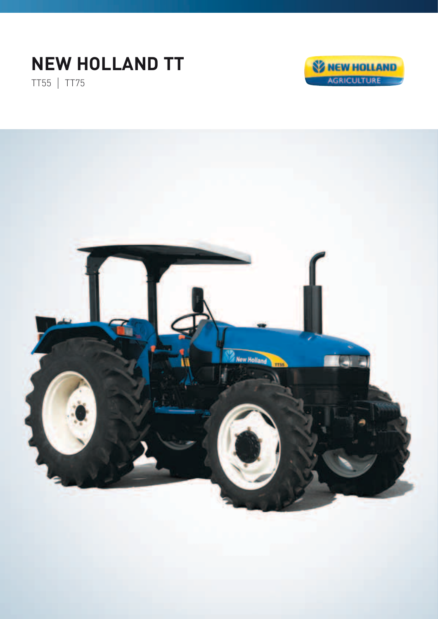## **NEW HOLLAND TT**

TT55 | TT75